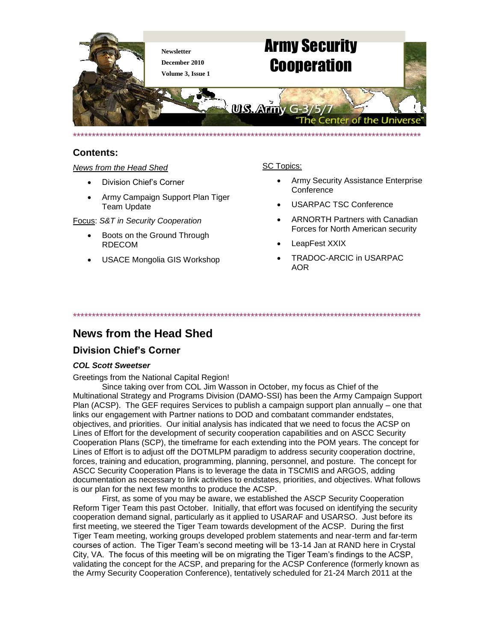

# **Contents:**

### *News from the Head Shed*

- Division Chief's Corner
- Army Campaign Support Plan Tiger Team Update

Focus: *S&T in Security Cooperation*

- Boots on the Ground Through RDECOM
- USACE Mongolia GIS Workshop

# SC Topics:

- Army Security Assistance Enterprise **Conference**
- USARPAC TSC Conference
- ARNORTH Partners with Canadian Forces for North American security
- LeapFest XXIX
- TRADOC-ARCIC in USARPAC AOR

\*\*\*\*\*\*\*\*\*\*\*\*\*\*\*\*\*\*\*\*\*\*\*\*\*\*\*\*\*\*\*\*\*\*\*\*\*\*\*\*\*\*\*\*\*\*\*\*\*\*\*\*\*\*\*\*\*\*\*\*\*\*\*\*\*\*\*\*\*\*\*\*\*\*\*\*\*\*\*\*\*\*\*\*\*\*\*\*\*\*\*\*

# **News from the Head Shed**

# **Division Chief's Corner**

## *COL Scott Sweetser*

Greetings from the National Capital Region!

Since taking over from COL Jim Wasson in October, my focus as Chief of the Multinational Strategy and Programs Division (DAMO-SSI) has been the Army Campaign Support Plan (ACSP). The GEF requires Services to publish a campaign support plan annually – one that links our engagement with Partner nations to DOD and combatant commander endstates, objectives, and priorities. Our initial analysis has indicated that we need to focus the ACSP on Lines of Effort for the development of security cooperation capabilities and on ASCC Security Cooperation Plans (SCP), the timeframe for each extending into the POM years. The concept for Lines of Effort is to adjust off the DOTMLPM paradigm to address security cooperation doctrine, forces, training and education, programming, planning, personnel, and posture. The concept for ASCC Security Cooperation Plans is to leverage the data in TSCMIS and ARGOS, adding documentation as necessary to link activities to endstates, priorities, and objectives. What follows is our plan for the next few months to produce the ACSP.

First, as some of you may be aware, we established the ASCP Security Cooperation Reform Tiger Team this past October. Initially, that effort was focused on identifying the security cooperation demand signal, particularly as it applied to USARAF and USARSO. Just before its first meeting, we steered the Tiger Team towards development of the ACSP. During the first Tiger Team meeting, working groups developed problem statements and near-term and far-term courses of action. The Tiger Team's second meeting will be 13-14 Jan at RAND here in Crystal City, VA. The focus of this meeting will be on migrating the Tiger Team's findings to the ACSP, validating the concept for the ACSP, and preparing for the ACSP Conference (formerly known as the Army Security Cooperation Conference), tentatively scheduled for 21-24 March 2011 at the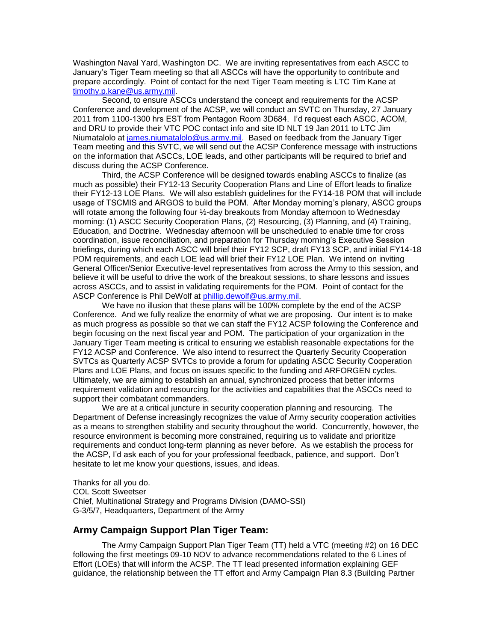Washington Naval Yard, Washington DC. We are inviting representatives from each ASCC to January's Tiger Team meeting so that all ASCCs will have the opportunity to contribute and prepare accordingly. Point of contact for the next Tiger Team meeting is LTC Tim Kane at [timothy.p.kane@us.army.mil.](mailto:timothy.p.kane@us.army.mil)

Second, to ensure ASCCs understand the concept and requirements for the ACSP Conference and development of the ACSP, we will conduct an SVTC on Thursday, 27 January 2011 from 1100-1300 hrs EST from Pentagon Room 3D684. I'd request each ASCC, ACOM, and DRU to provide their VTC POC contact info and site ID NLT 19 Jan 2011 to LTC Jim Niumatalolo at [james.niumatalolo@us.army.mil.](mailto:james.niumatalolo@us.army.mil) Based on feedback from the January Tiger Team meeting and this SVTC, we will send out the ACSP Conference message with instructions on the information that ASCCs, LOE leads, and other participants will be required to brief and discuss during the ACSP Conference.

Third, the ACSP Conference will be designed towards enabling ASCCs to finalize (as much as possible) their FY12-13 Security Cooperation Plans and Line of Effort leads to finalize their FY12-13 LOE Plans. We will also establish guidelines for the FY14-18 POM that will include usage of TSCMIS and ARGOS to build the POM. After Monday morning's plenary, ASCC groups will rotate among the following four ½-day breakouts from Monday afternoon to Wednesday morning: (1) ASCC Security Cooperation Plans, (2) Resourcing, (3) Planning, and (4) Training, Education, and Doctrine. Wednesday afternoon will be unscheduled to enable time for cross coordination, issue reconciliation, and preparation for Thursday morning's Executive Session briefings, during which each ASCC will brief their FY12 SCP, draft FY13 SCP, and initial FY14-18 POM requirements, and each LOE lead will brief their FY12 LOE Plan. We intend on inviting General Officer/Senior Executive-level representatives from across the Army to this session, and believe it will be useful to drive the work of the breakout sessions, to share lessons and issues across ASCCs, and to assist in validating requirements for the POM. Point of contact for the ASCP Conference is Phil DeWolf at [phillip.dewolf@us.army.mil.](mailto:phillip.dewolf@us.army.mil)

We have no illusion that these plans will be 100% complete by the end of the ACSP Conference. And we fully realize the enormity of what we are proposing. Our intent is to make as much progress as possible so that we can staff the FY12 ACSP following the Conference and begin focusing on the next fiscal year and POM. The participation of your organization in the January Tiger Team meeting is critical to ensuring we establish reasonable expectations for the FY12 ACSP and Conference. We also intend to resurrect the Quarterly Security Cooperation SVTCs as Quarterly ACSP SVTCs to provide a forum for updating ASCC Security Cooperation Plans and LOE Plans, and focus on issues specific to the funding and ARFORGEN cycles. Ultimately, we are aiming to establish an annual, synchronized process that better informs requirement validation and resourcing for the activities and capabilities that the ASCCs need to support their combatant commanders.

We are at a critical juncture in security cooperation planning and resourcing. The Department of Defense increasingly recognizes the value of Army security cooperation activities as a means to strengthen stability and security throughout the world. Concurrently, however, the resource environment is becoming more constrained, requiring us to validate and prioritize requirements and conduct long-term planning as never before. As we establish the process for the ACSP, I'd ask each of you for your professional feedback, patience, and support. Don't hesitate to let me know your questions, issues, and ideas.

Thanks for all you do. COL Scott Sweetser Chief, Multinational Strategy and Programs Division (DAMO-SSI) G-3/5/7, Headquarters, Department of the Army

# **Army Campaign Support Plan Tiger Team:**

The Army Campaign Support Plan Tiger Team (TT) held a VTC (meeting #2) on 16 DEC following the first meetings 09-10 NOV to advance recommendations related to the 6 Lines of Effort (LOEs) that will inform the ACSP. The TT lead presented information explaining GEF guidance, the relationship between the TT effort and Army Campaign Plan 8.3 (Building Partner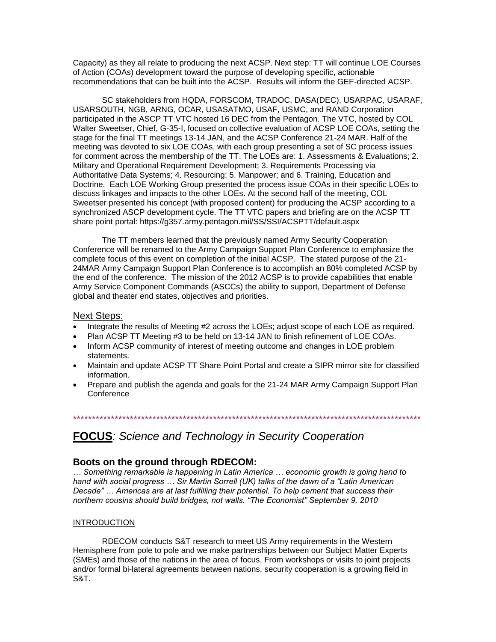Capacity) as they all relate to producing the next ACSP. Next step: TT will continue LOE Courses of Action (COAs) development toward the purpose of developing specific, actionable recommendations that can be built into the ACSP. Results will inform the GEF-directed ACSP.

SC stakeholders from HQDA, FORSCOM, TRADOC, DASA(DEC), USARPAC, USARAF, USARSOUTH, NGB, ARNG, OCAR, USASATMO, USAF, USMC, and RAND Corporation participated in the ASCP TT VTC hosted 16 DEC from the Pentagon. The VTC, hosted by COL Walter Sweetser, Chief, G-35-I, focused on collective evaluation of ACSP LOE COAs, setting the stage for the final TT meetings 13-14 JAN, and the ACSP Conference 21-24 MAR. Half of the meeting was devoted to six LOE COAs, with each group presenting a set of SC process issues for comment across the membership of the TT. The LOEs are: 1. Assessments & Evaluations; 2. Military and Operational Requirement Development; 3. Requirements Processing via Authoritative Data Systems; 4. Resourcing; 5. Manpower; and 6. Training, Education and Doctrine. Each LOE Working Group presented the process issue COAs in their specific LOEs to discuss linkages and impacts to the other LOEs. At the second half of the meeting, COL Sweetser presented his concept (with proposed content) for producing the ACSP according to a synchronized ASCP development cycle. The TT VTC papers and briefing are on the ACSP TT share point portal: https://g357.army.pentagon.mil/SS/SSI/ACSPTT/default.aspx

The TT members learned that the previously named Army Security Cooperation Conference will be renamed to the Army Campaign Support Plan Conference to emphasize the complete focus of this event on completion of the initial ACSP. The stated purpose of the 21- 24MAR Army Campaign Support Plan Conference is to accomplish an 80% completed ACSP by the end of the conference. The mission of the 2012 ACSP is to provide capabilities that enable Army Service Component Commands (ASCCs) the ability to support, Department of Defense global and theater end states, objectives and priorities.

### Next Steps:

- Integrate the results of Meeting #2 across the LOEs; adjust scope of each LOE as required.
- Plan ACSP TT Meeting #3 to be held on 13-14 JAN to finish refinement of LOE COAs.
- Inform ACSP community of interest of meeting outcome and changes in LOE problem statements.
- Maintain and update ACSP TT Share Point Portal and create a SIPR mirror site for classified information.
- Prepare and publish the agenda and goals for the 21-24 MAR Army Campaign Support Plan **Conference**

\*\*\*\*\*\*\*\*\*\*\*\*\*\*\*\*\*\*\*\*\*\*\*\*\*\*\*\*\*\*\*\*\*\*\*\*\*\*\*\*\*\*\*\*\*\*\*\*\*\*\*\*\*\*\*\*\*\*\*\*\*\*\*\*\*\*\*\*\*\*\*\*\*\*\*\*\*\*\*\*\*\*\*\*\*\*\*\*\*\*\*\*

# **FOCUS***: Science and Technology in Security Cooperation*

## **Boots on the ground through RDECOM:**

*… Something remarkable is happening in Latin America … economic growth is going hand to hand with social progress … Sir Martin Sorrell (UK) talks of the dawn of a "Latin American Decade" … Americas are at last fulfilling their potential. To help cement that success their northern cousins should build bridges, not walls. "The Economist" September 9, 2010*

#### **INTRODUCTION**

RDECOM conducts S&T research to meet US Army requirements in the Western Hemisphere from pole to pole and we make partnerships between our Subject Matter Experts (SMEs) and those of the nations in the area of focus. From workshops or visits to joint projects and/or formal bi-lateral agreements between nations, security cooperation is a growing field in S&T.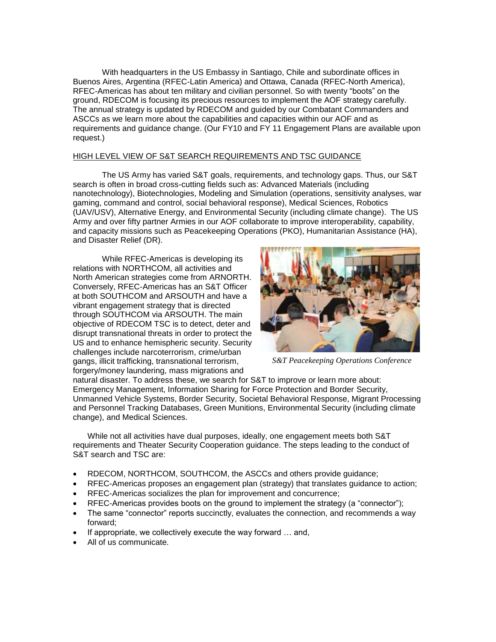With headquarters in the US Embassy in Santiago, Chile and subordinate offices in Buenos Aires, Argentina (RFEC-Latin America) and Ottawa, Canada (RFEC-North America), RFEC-Americas has about ten military and civilian personnel. So with twenty "boots" on the ground, RDECOM is focusing its precious resources to implement the AOF strategy carefully. The annual strategy is updated by RDECOM and guided by our Combatant Commanders and ASCCs as we learn more about the capabilities and capacities within our AOF and as requirements and guidance change. (Our FY10 and FY 11 Engagement Plans are available upon request.)

#### HIGH LEVEL VIEW OF S&T SEARCH REQUIREMENTS AND TSC GUIDANCE

The US Army has varied S&T goals, requirements, and technology gaps. Thus, our S&T search is often in broad cross-cutting fields such as: Advanced Materials (including nanotechnology), Biotechnologies, Modeling and Simulation (operations, sensitivity analyses, war gaming, command and control, social behavioral response), Medical Sciences, Robotics (UAV/USV), Alternative Energy, and Environmental Security (including climate change). The US Army and over fifty partner Armies in our AOF collaborate to improve interoperability, capability, and capacity missions such as Peacekeeping Operations (PKO), Humanitarian Assistance (HA), and Disaster Relief (DR).

While RFEC-Americas is developing its relations with NORTHCOM, all activities and North American strategies come from ARNORTH. Conversely, RFEC-Americas has an S&T Officer at both SOUTHCOM and ARSOUTH and have a vibrant engagement strategy that is directed through SOUTHCOM via ARSOUTH. The main objective of RDECOM TSC is to detect, deter and disrupt transnational threats in order to protect the US and to enhance hemispheric security. Security challenges include narcoterrorism, crime/urban gangs, illicit trafficking, transnational terrorism, forgery/money laundering, mass migrations and



*S&T Peacekeeping Operations Conference*

natural disaster. To address these, we search for S&T to improve or learn more about: Emergency Management, Information Sharing for Force Protection and Border Security, Unmanned Vehicle Systems, Border Security, Societal Behavioral Response, Migrant Processing and Personnel Tracking Databases, Green Munitions, Environmental Security (including climate change), and Medical Sciences.

While not all activities have dual purposes, ideally, one engagement meets both S&T requirements and Theater Security Cooperation guidance. The steps leading to the conduct of S&T search and TSC are:

- RDECOM, NORTHCOM, SOUTHCOM, the ASCCs and others provide guidance;
- RFEC-Americas proposes an engagement plan (strategy) that translates guidance to action;
- RFEC-Americas socializes the plan for improvement and concurrence;
- RFEC-Americas provides boots on the ground to implement the strategy (a "connector");
- The same "connector" reports succinctly, evaluates the connection, and recommends a way forward;
- If appropriate, we collectively execute the way forward … and,
- All of us communicate.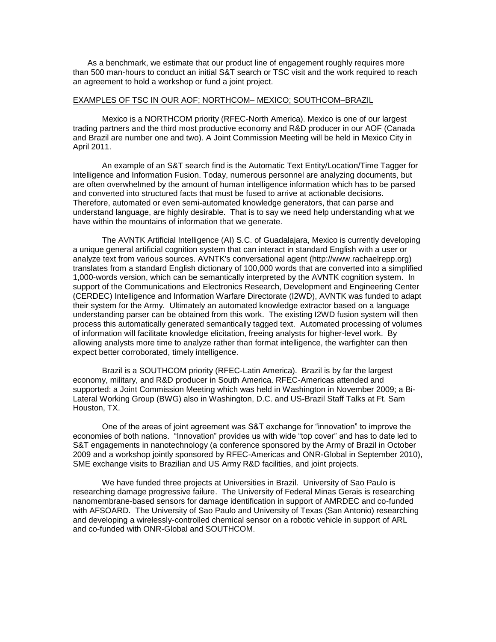As a benchmark, we estimate that our product line of engagement roughly requires more than 500 man-hours to conduct an initial S&T search or TSC visit and the work required to reach an agreement to hold a workshop or fund a joint project.

#### EXAMPLES OF TSC IN OUR AOF; NORTHCOM– MEXICO; SOUTHCOM–BRAZIL

Mexico is a NORTHCOM priority (RFEC-North America). Mexico is one of our largest trading partners and the third most productive economy and R&D producer in our AOF (Canada and Brazil are number one and two). A Joint Commission Meeting will be held in Mexico City in April 2011.

An example of an S&T search find is the Automatic Text Entity/Location/Time Tagger for Intelligence and Information Fusion. Today, numerous personnel are analyzing documents, but are often overwhelmed by the amount of human intelligence information which has to be parsed and converted into structured facts that must be fused to arrive at actionable decisions. Therefore, automated or even semi-automated knowledge generators, that can parse and understand language, are highly desirable. That is to say we need help understanding what we have within the mountains of information that we generate.

The AVNTK Artificial Intelligence (AI) S.C. of Guadalajara, Mexico is currently developing a unique general artificial cognition system that can interact in standard English with a user or analyze text from various sources. AVNTK's conversational agent (http://www.rachaelrepp.org) translates from a standard English dictionary of 100,000 words that are converted into a simplified 1,000-words version, which can be semantically interpreted by the AVNTK cognition system. In support of the Communications and Electronics Research, Development and Engineering Center (CERDEC) Intelligence and Information Warfare Directorate (I2WD), AVNTK was funded to adapt their system for the Army. Ultimately an automated knowledge extractor based on a language understanding parser can be obtained from this work. The existing I2WD fusion system will then process this automatically generated semantically tagged text. Automated processing of volumes of information will facilitate knowledge elicitation, freeing analysts for higher-level work. By allowing analysts more time to analyze rather than format intelligence, the warfighter can then expect better corroborated, timely intelligence.

Brazil is a SOUTHCOM priority (RFEC-Latin America). Brazil is by far the largest economy, military, and R&D producer in South America. RFEC-Americas attended and supported: a Joint Commission Meeting which was held in Washington in November 2009; a Bi-Lateral Working Group (BWG) also in Washington, D.C. and US-Brazil Staff Talks at Ft. Sam Houston, TX.

One of the areas of joint agreement was S&T exchange for "innovation" to improve the economies of both nations. "Innovation" provides us with wide "top cover" and has to date led to S&T engagements in nanotechnology (a conference sponsored by the Army of Brazil in October 2009 and a workshop jointly sponsored by RFEC-Americas and ONR-Global in September 2010), SME exchange visits to Brazilian and US Army R&D facilities, and joint projects.

We have funded three projects at Universities in Brazil. University of Sao Paulo is researching damage progressive failure. The University of Federal Minas Gerais is researching nanomembrane-based sensors for damage identification in support of AMRDEC and co-funded with AFSOARD. The University of Sao Paulo and University of Texas (San Antonio) researching and developing a wirelessly-controlled chemical sensor on a robotic vehicle in support of ARL and co-funded with ONR-Global and SOUTHCOM.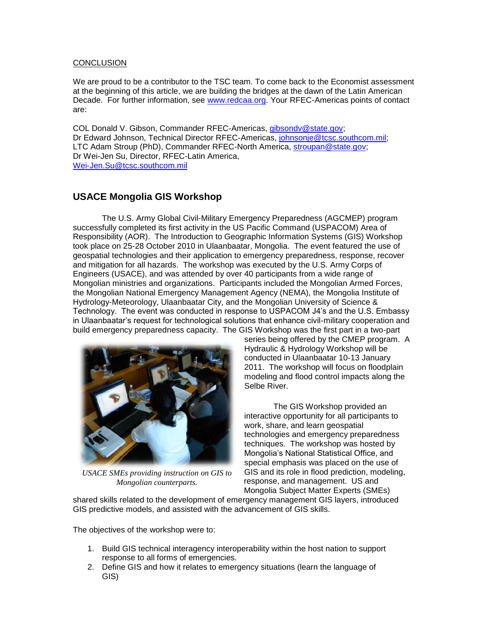#### **CONCLUSION**

We are proud to be a contributor to the TSC team. To come back to the Economist assessment at the beginning of this article, we are building the bridges at the dawn of the Latin American Decade. For further information, see [www.redcaa.org.](http://www.redcaa.org/) Your RFEC-Americas points of contact are:

COL Donald V. Gibson, Commander RFEC-Americas, [gibsondv@state.gov;](mailto:gibsondv@state.gov) Dr Edward Johnson, Technical Director RFEC-Americas, [johnsonje@tcsc.southcom.mil;](mailto:johnsonje@tcsc.southcom.mil) LTC Adam Stroup (PhD), Commander RFEC-North America, [stroupan@state.gov;](mailto:stroupan@state.gov) Dr Wei-Jen Su, Director, RFEC-Latin America, [Wei-Jen.Su@tcsc.southcom.mil](mailto:Wei-Jen.Su@tcsc.southcom.mil) 

# **USACE Mongolia GIS Workshop**

The U.S. Army Global Civil-Military Emergency Preparedness (AGCMEP) program successfully completed its first activity in the US Pacific Command (USPACOM) Area of Responsibility (AOR). The Introduction to Geographic Information Systems (GIS) Workshop took place on 25-28 October 2010 in Ulaanbaatar, Mongolia. The event featured the use of geospatial technologies and their application to emergency preparedness, response, recover and mitigation for all hazards. The workshop was executed by the U.S. Army Corps of Engineers (USACE), and was attended by over 40 participants from a wide range of Mongolian ministries and organizations. Participants included the Mongolian Armed Forces, the Mongolian National Emergency Management Agency (NEMA), the Mongolia Institute of Hydrology-Meteorology, Ulaanbaatar City, and the Mongolian University of Science & Technology. The event was conducted in response to USPACOM J4's and the U.S. Embassy in Ulaanbaatar's request for technological solutions that enhance civil-military cooperation and build emergency preparedness capacity. The GIS Workshop was the first part in a two-part



*USACE SMEs providing instruction on GIS to Mongolian counterparts.*

series being offered by the CMEP program. A Hydraulic & Hydrology Workshop will be conducted in Ulaanbaatar 10-13 January 2011. The workshop will focus on floodplain modeling and flood control impacts along the Selbe River.

The GIS Workshop provided an interactive opportunity for all participants to work, share, and learn geospatial technologies and emergency preparedness techniques. The workshop was hosted by Mongolia's National Statistical Office, and special emphasis was placed on the use of GIS and its role in flood prediction, modeling, response, and management. US and Mongolia Subject Matter Experts (SMEs)

shared skills related to the development of emergency management GIS layers, introduced GIS predictive models, and assisted with the advancement of GIS skills.

The objectives of the workshop were to:

- 1. Build GIS technical interagency interoperability within the host nation to support response to all forms of emergencies.
- 2. Define GIS and how it relates to emergency situations (learn the language of GIS)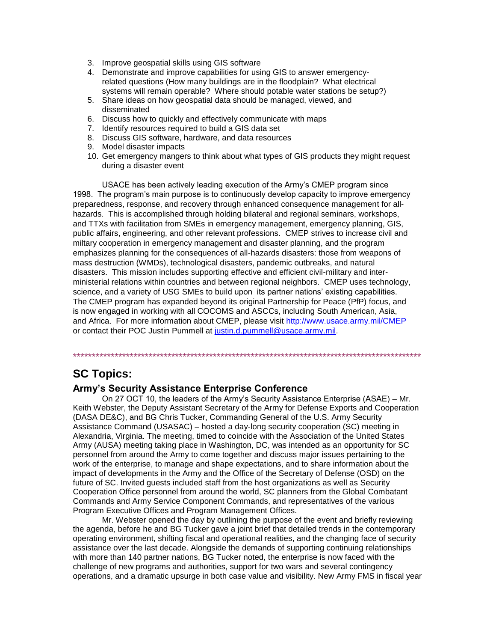- 3. Improve geospatial skills using GIS software
- 4. Demonstrate and improve capabilities for using GIS to answer emergencyrelated questions (How many buildings are in the floodplain? What electrical systems will remain operable? Where should potable water stations be setup?)
- 5. Share ideas on how geospatial data should be managed, viewed, and disseminated
- 6. Discuss how to quickly and effectively communicate with maps
- 7. Identify resources required to build a GIS data set
- 8. Discuss GIS software, hardware, and data resources
- 9. Model disaster impacts
- 10. Get emergency mangers to think about what types of GIS products they might request during a disaster event

USACE has been actively leading execution of the Army's CMEP program since 1998. The program's main purpose is to continuously develop capacity to improve emergency preparedness, response, and recovery through enhanced consequence management for allhazards. This is accomplished through holding bilateral and regional seminars, workshops, and TTXs with facilitation from SMEs in emergency management, emergency planning, GIS, public affairs, engineering, and other relevant professions. CMEP strives to increase civil and miltary cooperation in emergency management and disaster planning, and the program emphasizes planning for the consequences of all-hazards disasters: those from weapons of mass destruction (WMDs), technological disasters, pandemic outbreaks, and natural disasters. This mission includes supporting effective and efficient civil-military and interministerial relations within countries and between regional neighbors. CMEP uses technology, science, and a variety of USG SMEs to build upon its partner nations' existing capabilities. The CMEP program has expanded beyond its original Partnership for Peace (PfP) focus, and is now engaged in working with all COCOMS and ASCCs, including South American, Asia, and Africa. For more information about CMEP, please visit<http://www.usace.army.mil/CMEP> or contact their POC Justin Pummell at [justin.d.pummell@usace.army.mil.](mailto:justin.d.pummell@usace.army.mil)

# **SC Topics:**

## **Army's Security Assistance Enterprise Conference**

On 27 OCT 10, the leaders of the Army's Security Assistance Enterprise (ASAE) – Mr. Keith Webster, the Deputy Assistant Secretary of the Army for Defense Exports and Cooperation (DASA DE&C), and BG Chris Tucker, Commanding General of the U.S. Army Security Assistance Command (USASAC) – hosted a day-long security cooperation (SC) meeting in Alexandria, Virginia. The meeting, timed to coincide with the Association of the United States Army (AUSA) meeting taking place in Washington, DC, was intended as an opportunity for SC personnel from around the Army to come together and discuss major issues pertaining to the work of the enterprise, to manage and shape expectations, and to share information about the impact of developments in the Army and the Office of the Secretary of Defense (OSD) on the future of SC. Invited guests included staff from the host organizations as well as Security Cooperation Office personnel from around the world, SC planners from the Global Combatant Commands and Army Service Component Commands, and representatives of the various Program Executive Offices and Program Management Offices.

\*\*\*\*\*\*\*\*\*\*\*\*\*\*\*\*\*\*\*\*\*\*\*\*\*\*\*\*\*\*\*\*\*\*\*\*\*\*\*\*\*\*\*\*\*\*\*\*\*\*\*\*\*\*\*\*\*\*\*\*\*\*\*\*\*\*\*\*\*\*\*\*\*\*\*\*\*\*\*\*\*\*\*\*\*\*\*\*\*\*\*\*

Mr. Webster opened the day by outlining the purpose of the event and briefly reviewing the agenda, before he and BG Tucker gave a joint brief that detailed trends in the contemporary operating environment, shifting fiscal and operational realities, and the changing face of security assistance over the last decade. Alongside the demands of supporting continuing relationships with more than 140 partner nations, BG Tucker noted, the enterprise is now faced with the challenge of new programs and authorities, support for two wars and several contingency operations, and a dramatic upsurge in both case value and visibility. New Army FMS in fiscal year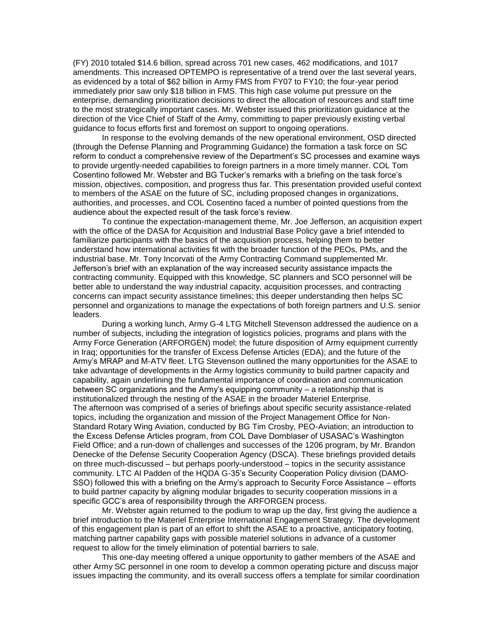(FY) 2010 totaled \$14.6 billion, spread across 701 new cases, 462 modifications, and 1017 amendments. This increased OPTEMPO is representative of a trend over the last several years, as evidenced by a total of \$62 billion in Army FMS from FY07 to FY10; the four-year period immediately prior saw only \$18 billion in FMS. This high case volume put pressure on the enterprise, demanding prioritization decisions to direct the allocation of resources and staff time to the most strategically important cases. Mr. Webster issued this prioritization guidance at the direction of the Vice Chief of Staff of the Army, committing to paper previously existing verbal guidance to focus efforts first and foremost on support to ongoing operations.

In response to the evolving demands of the new operational environment, OSD directed (through the Defense Planning and Programming Guidance) the formation a task force on SC reform to conduct a comprehensive review of the Department's SC processes and examine ways to provide urgently-needed capabilities to foreign partners in a more timely manner. COL Tom Cosentino followed Mr. Webster and BG Tucker's remarks with a briefing on the task force's mission, objectives, composition, and progress thus far. This presentation provided useful context to members of the ASAE on the future of SC, including proposed changes in organizations, authorities, and processes, and COL Cosentino faced a number of pointed questions from the audience about the expected result of the task force's review.

To continue the expectation-management theme, Mr. Joe Jefferson, an acquisition expert with the office of the DASA for Acquisition and Industrial Base Policy gave a brief intended to familiarize participants with the basics of the acquisition process, helping them to better understand how international activities fit with the broader function of the PEOs, PMs, and the industrial base. Mr. Tony Incorvati of the Army Contracting Command supplemented Mr. Jefferson's brief with an explanation of the way increased security assistance impacts the contracting community. Equipped with this knowledge, SC planners and SCO personnel will be better able to understand the way industrial capacity, acquisition processes, and contracting concerns can impact security assistance timelines; this deeper understanding then helps SC personnel and organizations to manage the expectations of both foreign partners and U.S. senior leaders.

During a working lunch, Army G-4 LTG Mitchell Stevenson addressed the audience on a number of subjects, including the integration of logistics policies, programs and plans with the Army Force Generation (ARFORGEN) model; the future disposition of Army equipment currently in Iraq; opportunities for the transfer of Excess Defense Articles (EDA); and the future of the Army's MRAP and M-ATV fleet. LTG Stevenson outlined the many opportunities for the ASAE to take advantage of developments in the Army logistics community to build partner capacity and capability, again underlining the fundamental importance of coordination and communication between SC organizations and the Army's equipping community – a relationship that is institutionalized through the nesting of the ASAE in the broader Materiel Enterprise. The afternoon was comprised of a series of briefings about specific security assistance-related topics, including the organization and mission of the Project Management Office for Non-Standard Rotary Wing Aviation, conducted by BG Tim Crosby, PEO-Aviation; an introduction to the Excess Defense Articles program, from COL Dave Dornblaser of USASAC's Washington Field Office; and a run-down of challenges and successes of the 1206 program, by Mr. Brandon Denecke of the Defense Security Cooperation Agency (DSCA). These briefings provided details on three much-discussed – but perhaps poorly-understood – topics in the security assistance community. LTC Al Padden of the HQDA G-35's Security Cooperation Policy division (DAMO-SSO) followed this with a briefing on the Army's approach to Security Force Assistance – efforts to build partner capacity by aligning modular brigades to security cooperation missions in a specific GCC's area of responsibility through the ARFORGEN process.

Mr. Webster again returned to the podium to wrap up the day, first giving the audience a brief introduction to the Materiel Enterprise International Engagement Strategy. The development of this engagement plan is part of an effort to shift the ASAE to a proactive, anticipatory footing, matching partner capability gaps with possible materiel solutions in advance of a customer request to allow for the timely elimination of potential barriers to sale.

This one-day meeting offered a unique opportunity to gather members of the ASAE and other Army SC personnel in one room to develop a common operating picture and discuss major issues impacting the community, and its overall success offers a template for similar coordination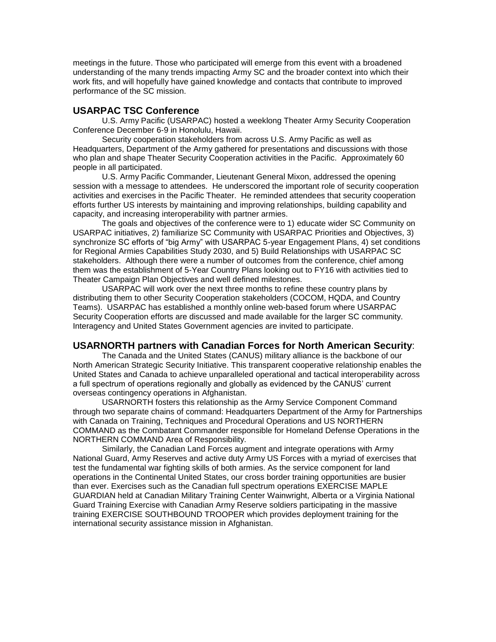meetings in the future. Those who participated will emerge from this event with a broadened understanding of the many trends impacting Army SC and the broader context into which their work fits, and will hopefully have gained knowledge and contacts that contribute to improved performance of the SC mission.

# **USARPAC TSC Conference**

U.S. Army Pacific (USARPAC) hosted a weeklong Theater Army Security Cooperation Conference December 6-9 in Honolulu, Hawaii.

Security cooperation stakeholders from across U.S. Army Pacific as well as Headquarters, Department of the Army gathered for presentations and discussions with those who plan and shape Theater Security Cooperation activities in the Pacific. Approximately 60 people in all participated.

U.S. Army Pacific Commander, Lieutenant General Mixon, addressed the opening session with a message to attendees. He underscored the important role of security cooperation activities and exercises in the Pacific Theater. He reminded attendees that security cooperation efforts further US interests by maintaining and improving relationships, building capability and capacity, and increasing interoperability with partner armies.

The goals and objectives of the conference were to 1) educate wider SC Community on USARPAC initiatives, 2) familiarize SC Community with USARPAC Priorities and Objectives, 3) synchronize SC efforts of "big Army" with USARPAC 5-year Engagement Plans, 4) set conditions for Regional Armies Capabilities Study 2030, and 5) Build Relationships with USARPAC SC stakeholders. Although there were a number of outcomes from the conference, chief among them was the establishment of 5-Year Country Plans looking out to FY16 with activities tied to Theater Campaign Plan Objectives and well defined milestones.

USARPAC will work over the next three months to refine these country plans by distributing them to other Security Cooperation stakeholders (COCOM, HQDA, and Country Teams). USARPAC has established a monthly online web-based forum where USARPAC Security Cooperation efforts are discussed and made available for the larger SC community. Interagency and United States Government agencies are invited to participate.

# **USARNORTH partners with Canadian Forces for North American Security**:

The Canada and the United States (CANUS) military alliance is the backbone of our North American Strategic Security Initiative. This transparent cooperative relationship enables the United States and Canada to achieve unparalleled operational and tactical interoperability across a full spectrum of operations regionally and globally as evidenced by the CANUS' current overseas contingency operations in Afghanistan.

USARNORTH fosters this relationship as the Army Service Component Command through two separate chains of command: Headquarters Department of the Army for Partnerships with Canada on Training, Techniques and Procedural Operations and US NORTHERN COMMAND as the Combatant Commander responsible for Homeland Defense Operations in the NORTHERN COMMAND Area of Responsibility.

Similarly, the Canadian Land Forces augment and integrate operations with Army National Guard, Army Reserves and active duty Army US Forces with a myriad of exercises that test the fundamental war fighting skills of both armies. As the service component for land operations in the Continental United States, our cross border training opportunities are busier than ever. Exercises such as the Canadian full spectrum operations EXERCISE MAPLE GUARDIAN held at Canadian Military Training Center Wainwright, Alberta or a Virginia National Guard Training Exercise with Canadian Army Reserve soldiers participating in the massive training EXERCISE SOUTHBOUND TROOPER which provides deployment training for the international security assistance mission in Afghanistan.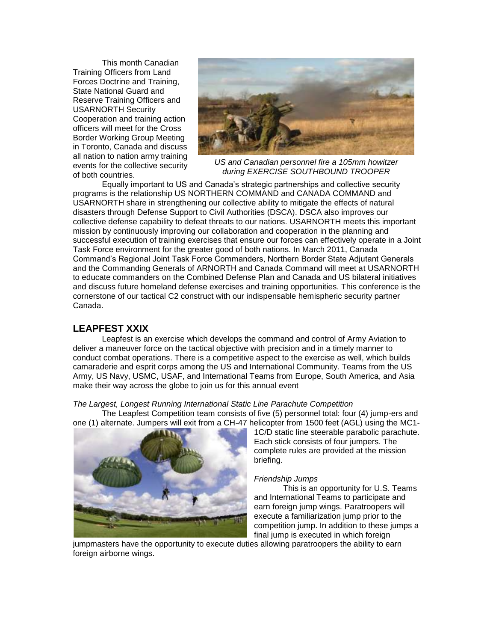This month Canadian Training Officers from Land Forces Doctrine and Training, State National Guard and Reserve Training Officers and USARNORTH Security Cooperation and training action officers will meet for the Cross Border Working Group Meeting in Toronto, Canada and discuss all nation to nation army training events for the collective security of both countries.



*US and Canadian personnel fire a 105mm howitzer during EXERCISE SOUTHBOUND TROOPER* 

Equally important to US and Canada's strategic partnerships and collective security programs is the relationship US NORTHERN COMMAND and CANADA COMMAND and USARNORTH share in strengthening our collective ability to mitigate the effects of natural disasters through Defense Support to Civil Authorities (DSCA). DSCA also improves our collective defense capability to defeat threats to our nations. USARNORTH meets this important mission by continuously improving our collaboration and cooperation in the planning and successful execution of training exercises that ensure our forces can effectively operate in a Joint Task Force environment for the greater good of both nations. In March 2011, Canada Command's Regional Joint Task Force Commanders, Northern Border State Adjutant Generals and the Commanding Generals of ARNORTH and Canada Command will meet at USARNORTH to educate commanders on the Combined Defense Plan and Canada and US bilateral initiatives and discuss future homeland defense exercises and training opportunities. This conference is the cornerstone of our tactical C2 construct with our indispensable hemispheric security partner Canada.

# **LEAPFEST XXIX**

Leapfest is an exercise which develops the command and control of Army Aviation to deliver a maneuver force on the tactical objective with precision and in a timely manner to conduct combat operations. There is a competitive aspect to the exercise as well, which builds camaraderie and esprit corps among the US and International Community. Teams from the US Army, US Navy, USMC, USAF, and International Teams from Europe, South America, and Asia make their way across the globe to join us for this annual event

*The Largest, Longest Running International Static Line Parachute Competition* 

The Leapfest Competition team consists of five (5) personnel total: four (4) jump-ers and one (1) alternate. Jumpers will exit from a CH-47 helicopter from 1500 feet (AGL) using the MC1-



1C/D static line steerable parabolic parachute. Each stick consists of four jumpers. The complete rules are provided at the mission briefing.

#### *Friendship Jumps*

This is an opportunity for U.S. Teams and International Teams to participate and earn foreign jump wings. Paratroopers will execute a familiarization jump prior to the competition jump. In addition to these jumps a final jump is executed in which foreign

jumpmasters have the opportunity to execute duties allowing paratroopers the ability to earn foreign airborne wings.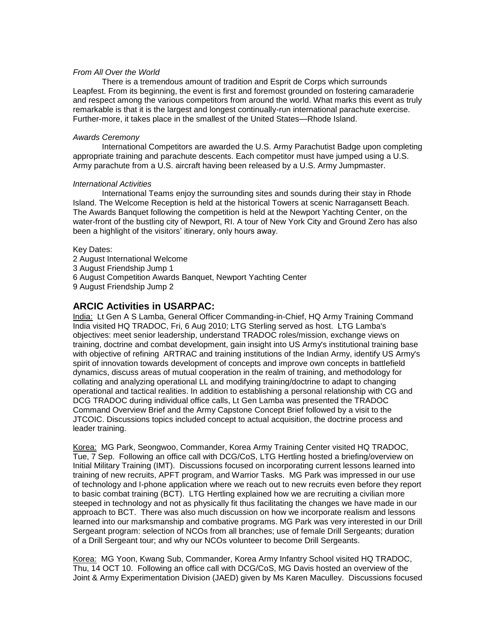#### *From All Over the World*

There is a tremendous amount of tradition and Esprit de Corps which surrounds Leapfest. From its beginning, the event is first and foremost grounded on fostering camaraderie and respect among the various competitors from around the world. What marks this event as truly remarkable is that it is the largest and longest continually-run international parachute exercise. Further-more, it takes place in the smallest of the United States—Rhode Island.

#### *Awards Ceremony*

International Competitors are awarded the U.S. Army Parachutist Badge upon completing appropriate training and parachute descents. Each competitor must have jumped using a U.S. Army parachute from a U.S. aircraft having been released by a U.S. Army Jumpmaster.

#### *International Activities*

International Teams enjoy the surrounding sites and sounds during their stay in Rhode Island. The Welcome Reception is held at the historical Towers at scenic Narragansett Beach. The Awards Banquet following the competition is held at the Newport Yachting Center, on the water-front of the bustling city of Newport, RI. A tour of New York City and Ground Zero has also been a highlight of the visitors' itinerary, only hours away.

Key Dates: 2 August International Welcome 3 August Friendship Jump 1 6 August Competition Awards Banquet, Newport Yachting Center 9 August Friendship Jump 2

# **ARCIC Activities in USARPAC:**

India: Lt Gen A S Lamba, General Officer Commanding-in-Chief, HQ Army Training Command India visited HQ TRADOC, Fri, 6 Aug 2010; LTG Sterling served as host. LTG Lamba's objectives: meet senior leadership, understand TRADOC roles/mission, exchange views on training, doctrine and combat development, gain insight into US Army's institutional training base with objective of refining ARTRAC and training institutions of the Indian Army, identify US Army's spirit of innovation towards development of concepts and improve own concepts in battlefield dynamics, discuss areas of mutual cooperation in the realm of training, and methodology for collating and analyzing operational LL and modifying training/doctrine to adapt to changing operational and tactical realities. In addition to establishing a personal relationship with CG and DCG TRADOC during individual office calls, Lt Gen Lamba was presented the TRADOC Command Overview Brief and the Army Capstone Concept Brief followed by a visit to the JTCOIC. Discussions topics included concept to actual acquisition, the doctrine process and leader training.

Korea: MG Park, Seongwoo, Commander, Korea Army Training Center visited HQ TRADOC, Tue, 7 Sep. Following an office call with DCG/CoS, LTG Hertling hosted a briefing/overview on Initial Military Training (IMT). Discussions focused on incorporating current lessons learned into training of new recruits, APFT program, and Warrior Tasks. MG Park was impressed in our use of technology and I-phone application where we reach out to new recruits even before they report to basic combat training (BCT). LTG Hertling explained how we are recruiting a civilian more steeped in technology and not as physically fit thus facilitating the changes we have made in our approach to BCT. There was also much discussion on how we incorporate realism and lessons learned into our marksmanship and combative programs. MG Park was very interested in our Drill Sergeant program: selection of NCOs from all branches; use of female Drill Sergeants; duration of a Drill Sergeant tour; and why our NCOs volunteer to become Drill Sergeants.

Korea: MG Yoon, Kwang Sub, Commander, Korea Army Infantry School visited HQ TRADOC, Thu, 14 OCT 10. Following an office call with DCG/CoS, MG Davis hosted an overview of the Joint & Army Experimentation Division (JAED) given by Ms Karen Maculley. Discussions focused